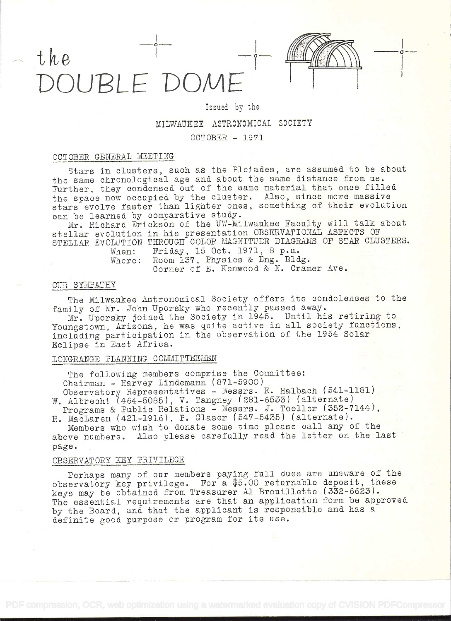# the DOUBLE DOME



## Issued by the

## MILWAUKEE ASTRONOMICAL SOCIETY

OCTOBER - 1971

## OCTOBER GENERAL NEETING

Stars in clusters, such as the Pleiades, are assumed to be about the same chronological age and about the same distance from us. Further, they condensed out of the same material that once filled the space now occupied by the cluster. Also, since more massive stars evolve faster than lighter ones, something of their evolution can be learned by comparative study.

Mr. Richard Erickson of the UW-Milwaukee Faculty will talk about stellar evolution in his presentation OBSERVATIONAL ASPECTS OF STELLAR EVOLUTION THROUGH COLOR MAGNITUDE DIAGRAMS OF STAR CLUSTERS.<br>When: Friday, 15 Oct. 1971, 8 p.m.

When: Friday, lb Oct. 1971, 8 p.m. Where: Room 137, Physics & Eng. Bldg. Corner of E. Kenwood & N. Cramer Ave.

## OUR SYMPATHY

The Milwaukee Astronomical Society offers its condolences to the family of Mr. John Uporsky who recently passed away.

Mr. Uporsky joined the Society in 1945. Until his retiring to Youngstown, Arizona, he was quite active in all society functions, including participation in the observation of the 1954 Solar Eclipse in East Africa.

## LONGRANGE PLANNING COMMITTEEMEN

The following members comprise the Committee: Chairman - Harvey Lindemann (871-5900) Observatory Representatives - Messrs. E. Halbach (541-1181)

W. Albrecht (464-5085), V. Tangney (281-6533) (alternate) Programs & Public Relations - Messrs. J. Toeller (352-7144),

R. MacLaren (421-1916), P. Glaser (547-5435) (alternate). Members who wish to donate some timo please call any of the

above numbers. Also please carefully read the letter on the last page.

#### OBSERVATORY KEY PRIVILEGE

Perhaps many of our members paying full dues are unaware of the observatory key privilege. For a \$5.00 returnable deposit, these keys may be obtained from Treasurer Al Brouillette (332-6623). The essential requirements are that an application form be approved by the Board, and that the applicant is responsible and has a definite good purpose or program for its use.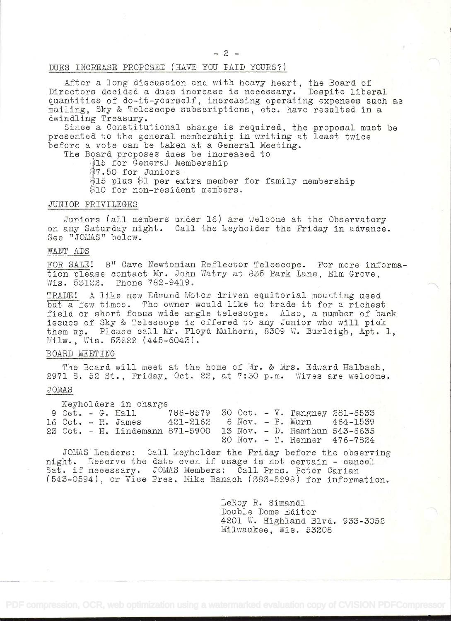$-2-$ 

### DUES INCREASE PROPOSED (HAVE YOU PAID YOURS?)

After a long discussion and with heavy heart, the Board of Directors decided a dues increase is necessary. Despite liberal quantities of do-it-yourself, increasing operating expenses such as mailing, Sky & Telescope subscriptions, etc. have resulted in a dwindling Treasary.

Since a Constitutional change is required, the proposal must be presented to the general membership in writing at least twice before a vote can be taken at a General Meeting.

The Board proposes dues be increased to

\$15 for General Membership

7.5O for Juniors

 $$15$  plus  $$1$  per extra member for family membership \$10 for non-resident members.

#### 3IINIOR PRIVILEGES

Juniors (all members under 16) are welcome at the Observatory on any Saturday night. Call the keyholder the Friday in advance. See "JOMAS" below.

#### WANT ADS

FOR SALE! 8" Cave Newtonian Reflector Telescope. For more information please contact Mr. John Watry at 835 Park Lane, Elm Grove, Wis. 53122. Phone 782-9419.

TRADE! A like new Edmund Motor driven equitorial mounting used but a few times. The owner would like to trade it for a richest field or short focus wide angle telescope. Also, a number of back issues of Sky & Telescope is offered to any Junior who will pick them up. Please call Mr. Floyd Mulhern, 8309 W. Burleigh, Apt. 1, Milw., Wis. 53222 (445-6043).

## BOARD MEETING

The Board will meet at the home of Mr. & Mrs. Edward Halbach, 2971 5. 52 St. , Friday, Oct. 22, at 7:30 p.m. Wives are welcome.

## **JOMAS**

Keyholders in charge Oct. - G. Hall 786-8579 30 Oct. - V. Tangney 281-6533 Oct. R. James 421-2162 6 Nov. - P. Mum 464-1539 Oct. - H. Lindemann 871-5900 13 Nov. - D. Ramthun 543-6635 Nov. - T. Renner 476-7824

JOMAS Leaders: Call keyholder the Friday before the observing night. Reserve the date even if usage is not certain - cancel Sat. if necessary. JOMAS Members: Call Pres. Peter Carian (543-0594), or Vice Pres. Mike Banach (383-5298) for information.

> LeRoy R. Simandi Double Dome Editor 4201 W. Highland Blvd. 933-3052 Milwaukee, Wis. 53208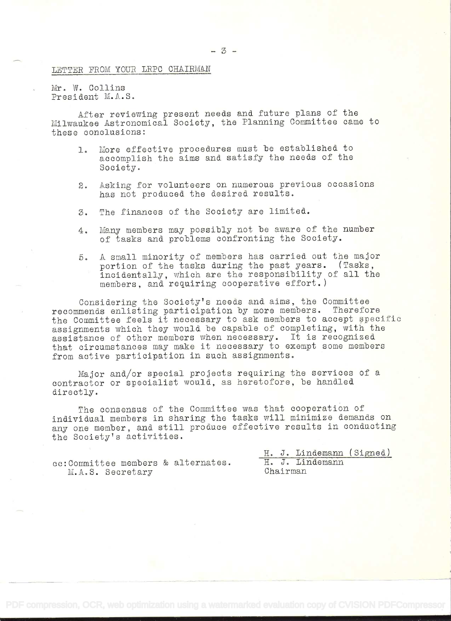## LETTER FROM YOUR LRPC CHAIRMAN

Mr. W. Collins President M.A.S.

After reviewing present needs and future plans of the Milwaukee Astronomical Society, the Planning Committee came to these conclusions:

- 1. More effective procedures mast be established to accomplish the aims and satisfy the needs of the Society.
- 2. Asking for volunteers on numerous previous occasions has not produced the desired results.
- 3. The finances of the Society are limited.
- 4. Many members may possibly not be aware of the number of tasks and problems confronting the Society.
- 5, A small minority of members has carried out the major portion of the tasks during the past years. (Tasks, incidentally, which are the responsibility of all the members, and requiring cooperative effort.)

Considering the Society's needs and aims, the Committee<br>mends enlisting participation by more members. Therefore recommends enlisting participation by more members. the Committee feels it necessary to ask members to accept specific assignments which they would be capable of completing, with the assistance of other members when necessary. It is recognized that circumstances may make it necessary to exempt some members from active participation in such assignments.

Major and/or special projects requiring the services of a contractor or specialist would, as heretofore, be handled directly.

The consensus of the Committee was that cooperation of individual members in sharing the tasks will minimize demands on any one member, and still produce effective results in conducting the Society's activities.

|                                     |  |          |  |  |  | H. J. Lindemann (Signed) |  |
|-------------------------------------|--|----------|--|--|--|--------------------------|--|
| cc: Committee members & alternates. |  |          |  |  |  | H. J. Lindemann          |  |
| M.A.S. Secretary                    |  | Chairman |  |  |  |                          |  |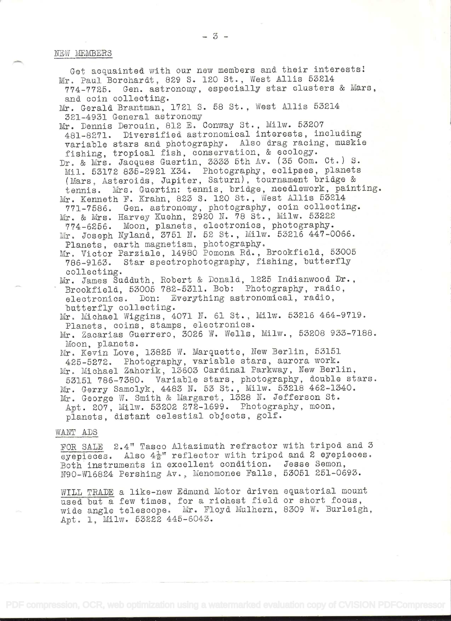Get acquainted with our new members and their interests! Mr. Paul Borchardt, 829 S. 120 St., West Allis <sup>53214</sup> 774-7725. Gen. astronomy, especially star clasters & Mars, and coin collecting Mr. Gerald Brantman, 1721 S. 58 St., West Allis 53214 321-4931 General astronomy Mr. Dennis Derouin, 812 E. Conway St., Milw. 53207 481-8271. Diversified astronomical interests, including<br>variable stars and photography. Also drag racing, muskie fishing, tropical fish, conservation, & ecology. Dr. & Mrs. Jacques Guertin, 3333 5th Av. (35 Com. Ct.) S. Mil. 53172 835-2921 X34. Photography, eclipses, planets (Mars, Asteroids, Jupiter, Saturn), tournament bridge & tennis. Mrs. Guertin: tennis, bridge, needlework, painting. Mr. Kenneth F. Krahn, 823 S. 120 St., West Allis 53214 771-7586. Gen. astronomy, photography, coin collecting. Mr. & Mrs. Harvey Kuehn, 2920 N. 78 St., Milw. 53222 774-6256. Moon, planets, electronics, photography. Mr. Joseph Nyland, 3751 N. 52 St., Milw. 53216 447-0066. Planets, earth magnetism, photography. Mr. Victor Parziale, 14980 Pomona Rd., Brookfield, 53005<br>786-9163. Star spectrophotography, fishing, butterfly collecting.<br>Mr. James Sudduth, Robert & Donald, 1225 Indianwood Dr., Brookfield, 53005 782-5311. Bob: Photography, radio, electronics. Don: Everything astronomical, radio, electronics. Don: Everything astronomical, radio,<br>butterfly collecting. Mr. Michael Wiggins, 4071 N. 61 St., Milw. 53216 464-9719. Planets, coins, stamps, electronics. Mr. Zacarias Guerrero, 3026 W. Wells, Milw., 53208 933-7188.<br>Moon, planets. Mr. Kevin Love, 13825 W. Marquette, New Berlin, 53151 425-5272. Photography, variable stars, aurora work. Mr. Michael Zahorik, 13603 Cardinal Parkway, New Berlin, <sup>53151</sup>786-7380. Variable stars, photography, doable stars. Mr. Gerry Samolyk, 4483 N. 53 St., Milw. 53218 462-1340. Mr. George W. Smith & Margaret, 1328 N. Jefferson St. Apt. 207, Milw. 53202 272-1699. Photography, moon, planets, distant celestial objects, golf.

#### WANT ADS

POR SALE 2.4' Tasco Altazimuth refractor with tripod and <sup>3</sup> eyepieces. Also  $4\frac{1}{2}$ " reflector with tripod and 2 eyepieces. Both instruments in excellent condition. Jesse Semon, N90-W16824 Pershing Av., Menomonee Falls, 53051 251-0693.

WILL TRADE a like-new Edmund Motor driven equatorial mount<br>used but a few times, for a richest field or short focus, wide angle telescope. Mr. Floyd Mulhern, 8309 W. Burleigh, Apt. 1, Milw. 53222 445-6043.